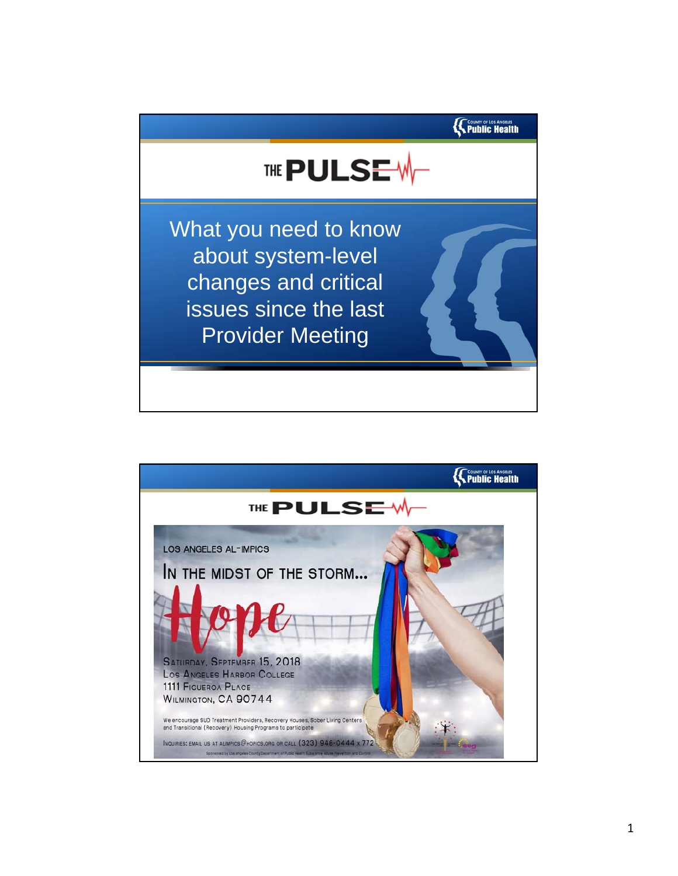

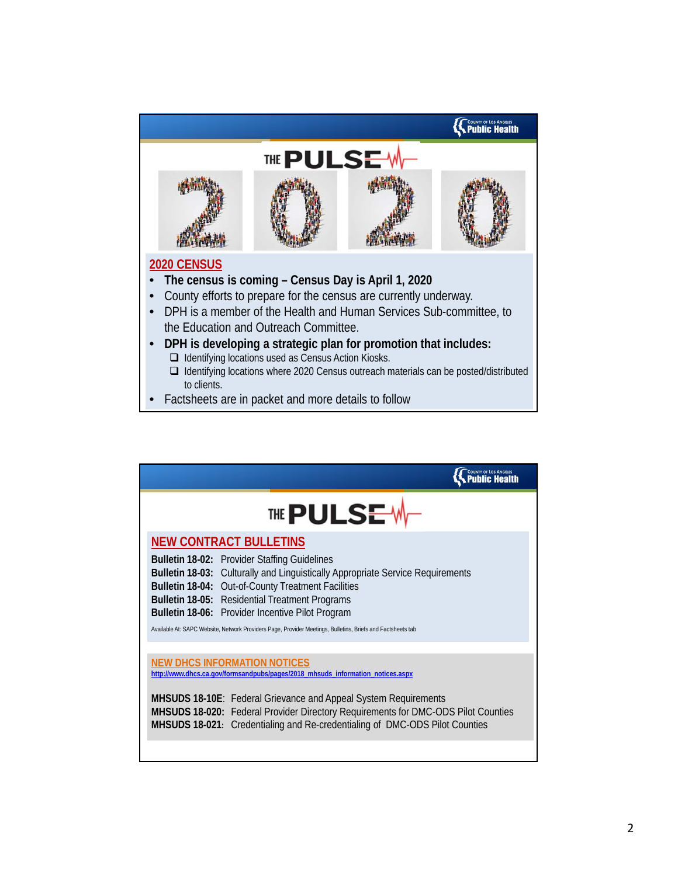

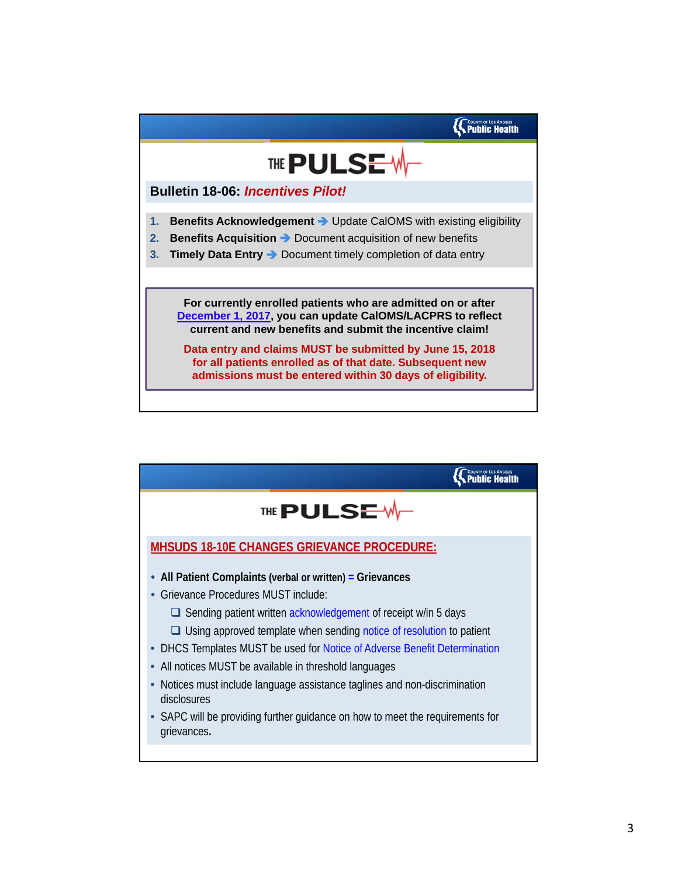

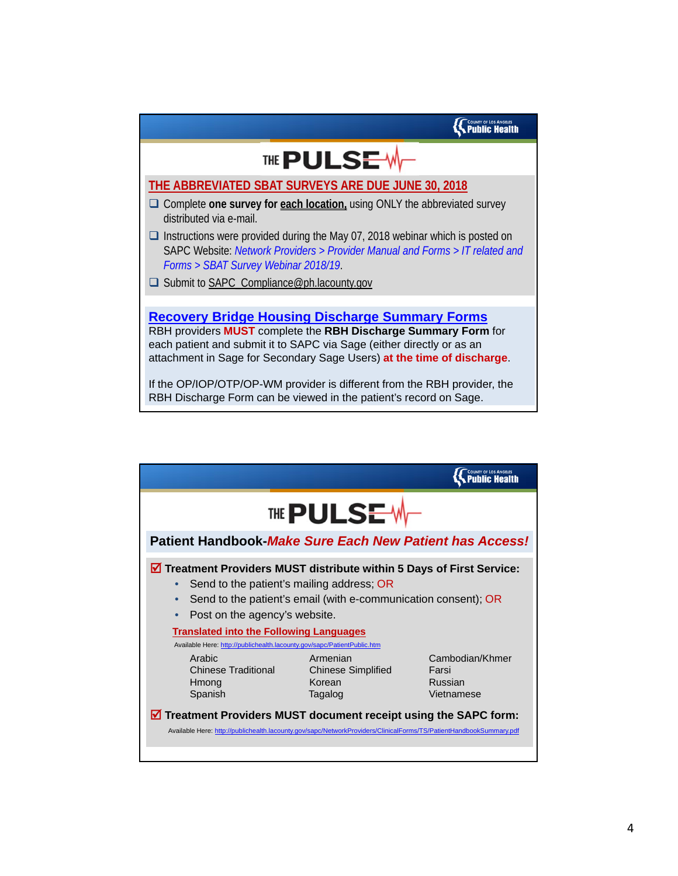## THE PULSE-W

## **THE ABBREVIATED SBAT SURVEYS ARE DUE JUNE 30, 2018**

- □ Complete one survey for each location, using ONLY the abbreviated survey distributed via e-mail.
- $\Box$  Instructions were provided during the May 07, 2018 webinar which is posted on SAPC Website: *Network Providers > Provider Manual and Forms > IT related and Forms > SBAT Survey Webinar 2018/19*.
- □ Submit to SAPC\_Compliance@ph.lacounty.gov

**Recovery Bridge Housing Discharge Summary Forms** RBH providers **MUST** complete the **RBH Discharge Summary Form** for each patient and submit it to SAPC via Sage (either directly or as an attachment in Sage for Secondary Sage Users) **at the time of discharge**.

If the OP/IOP/OTP/OP-WM provider is different from the RBH provider, the RBH Discharge Form can be viewed in the patient's record on Sage.